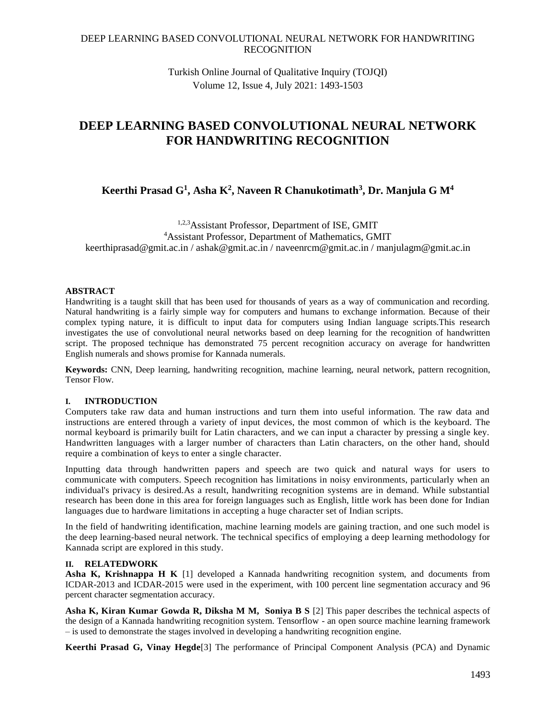Turkish Online Journal of Qualitative Inquiry (TOJQI) Volume 12, Issue 4, July 2021: 1493-1503

# **DEEP LEARNING BASED CONVOLUTIONAL NEURAL NETWORK FOR HANDWRITING RECOGNITION**

**Keerthi Prasad G<sup>1</sup> , Asha K<sup>2</sup> , Naveen R Chanukotimath<sup>3</sup> , Dr. Manjula G M<sup>4</sup>**

1,2,3Assistant Professor, Department of ISE, GMIT <sup>4</sup>Assistant Professor, Department of Mathematics, GMIT [keerthiprasad@gmit.ac.in](mailto:keerthiprasad@gmit.ac.in) / [ashak@gmit.ac.in](mailto:ashak@gmit.ac.in) / [naveenrcm@gmit.ac.in](mailto:naveenrcm@gmit.ac.in) / manjulagm@gmit.ac.in

## **ABSTRACT**

Handwriting is a taught skill that has been used for thousands of years as a way of communication and recording. Natural handwriting is a fairly simple way for computers and humans to exchange information. Because of their complex typing nature, it is difficult to input data for computers using Indian language scripts.This research investigates the use of convolutional neural networks based on deep learning for the recognition of handwritten script. The proposed technique has demonstrated 75 percent recognition accuracy on average for handwritten English numerals and shows promise for Kannada numerals.

**Keywords:** CNN, Deep learning, handwriting recognition, machine learning, neural network, pattern recognition, Tensor Flow.

## **I. INTRODUCTION**

Computers take raw data and human instructions and turn them into useful information. The raw data and instructions are entered through a variety of input devices, the most common of which is the keyboard. The normal keyboard is primarily built for Latin characters, and we can input a character by pressing a single key. Handwritten languages with a larger number of characters than Latin characters, on the other hand, should require a combination of keys to enter a single character.

Inputting data through handwritten papers and speech are two quick and natural ways for users to communicate with computers. Speech recognition has limitations in noisy environments, particularly when an individual's privacy is desired.As a result, handwriting recognition systems are in demand. While substantial research has been done in this area for foreign languages such as English, little work has been done for Indian languages due to hardware limitations in accepting a huge character set of Indian scripts.

In the field of handwriting identification, machine learning models are gaining traction, and one such model is the deep learning-based neural network. The technical specifics of employing a deep learning methodology for Kannada script are explored in this study.

# **II. RELATEDWORK**

**Asha K, Krishnappa H K** [1] developed a Kannada handwriting recognition system, and documents from ICDAR-2013 and ICDAR-2015 were used in the experiment, with 100 percent line segmentation accuracy and 96 percent character segmentation accuracy.

**Asha K, Kiran Kumar Gowda R, Diksha M M, Soniya B S** [2] This paper describes the technical aspects of the design of a Kannada handwriting recognition system. Tensorflow - an open source machine learning framework – is used to demonstrate the stages involved in developing a handwriting recognition engine.

**Keerthi Prasad G, Vinay Hegde**[3] The performance of Principal Component Analysis (PCA) and Dynamic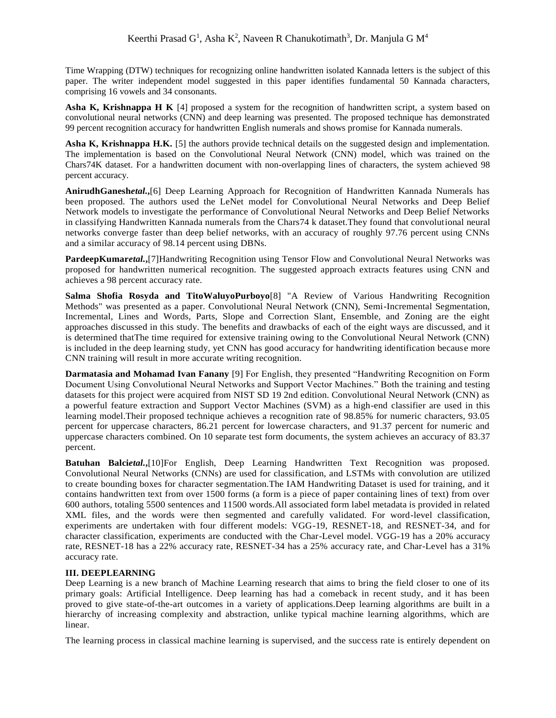Time Wrapping (DTW) techniques for recognizing online handwritten isolated Kannada letters is the subject of this paper. The writer independent model suggested in this paper identifies fundamental 50 Kannada characters, comprising 16 vowels and 34 consonants.

**Asha K, Krishnappa H K** [4] proposed a system for the recognition of handwritten script, a system based on convolutional neural networks (CNN) and deep learning was presented. The proposed technique has demonstrated 99 percent recognition accuracy for handwritten English numerals and shows promise for Kannada numerals.

**Asha K, Krishnappa H.K.** [5] the authors provide technical details on the suggested design and implementation. The implementation is based on the Convolutional Neural Network (CNN) model, which was trained on the Chars74K dataset. For a handwritten document with non-overlapping lines of characters, the system achieved 98 percent accuracy.

**AnirudhGanesh***etal.***,**[6] Deep Learning Approach for Recognition of Handwritten Kannada Numerals has been proposed. The authors used the LeNet model for Convolutional Neural Networks and Deep Belief Network models to investigate the performance of Convolutional Neural Networks and Deep Belief Networks in classifying Handwritten Kannada numerals from the Chars74 k dataset.They found that convolutional neural networks converge faster than deep belief networks, with an accuracy of roughly 97.76 percent using CNNs and a similar accuracy of 98.14 percent using DBNs.

**PardeepKumar***etal*.,<sup>[7]</sup>Handwriting Recognition using Tensor Flow and Convolutional Neural Networks was proposed for handwritten numerical recognition. The suggested approach extracts features using CNN and achieves a 98 percent accuracy rate.

**Salma Shofia Rosyda and TitoWaluyoPurboyo**[8] "A Review of Various Handwriting Recognition Methods" was presented as a paper. Convolutional Neural Network (CNN), Semi-Incremental Segmentation, Incremental, Lines and Words, Parts, Slope and Correction Slant, Ensemble, and Zoning are the eight approaches discussed in this study. The benefits and drawbacks of each of the eight ways are discussed, and it is determined thatThe time required for extensive training owing to the Convolutional Neural Network (CNN) is included in the deep learning study, yet CNN has good accuracy for handwriting identification because more CNN training will result in more accurate writing recognition.

**Darmatasia and Mohamad Ivan Fanany** [9] For English, they presented "Handwriting Recognition on Form Document Using Convolutional Neural Networks and Support Vector Machines." Both the training and testing datasets for this project were acquired from NIST SD 19 2nd edition. Convolutional Neural Network (CNN) as a powerful feature extraction and Support Vector Machines (SVM) as a high-end classifier are used in this learning model.Their proposed technique achieves a recognition rate of 98.85% for numeric characters, 93.05 percent for uppercase characters, 86.21 percent for lowercase characters, and 91.37 percent for numeric and uppercase characters combined. On 10 separate test form documents, the system achieves an accuracy of 83.37 percent.

**Batuhan Balci***etal.***,**[10]For English, Deep Learning Handwritten Text Recognition was proposed. Convolutional Neural Networks (CNNs) are used for classification, and LSTMs with convolution are utilized to create bounding boxes for character segmentation.The IAM Handwriting Dataset is used for training, and it contains handwritten text from over 1500 forms (a form is a piece of paper containing lines of text) from over 600 authors, totaling 5500 sentences and 11500 words.All associated form label metadata is provided in related XML files, and the words were then segmented and carefully validated. For word-level classification, experiments are undertaken with four different models: VGG-19, RESNET-18, and RESNET-34, and for character classification, experiments are conducted with the Char-Level model. VGG-19 has a 20% accuracy rate, RESNET-18 has a 22% accuracy rate, RESNET-34 has a 25% accuracy rate, and Char-Level has a 31% accuracy rate.

## **III. DEEPLEARNING**

Deep Learning is a new branch of Machine Learning research that aims to bring the field closer to one of its primary goals: Artificial Intelligence. Deep learning has had a comeback in recent study, and it has been proved to give state-of-the-art outcomes in a variety of applications.Deep learning algorithms are built in a hierarchy of increasing complexity and abstraction, unlike typical machine learning algorithms, which are linear.

The learning process in classical machine learning is supervised, and the success rate is entirely dependent on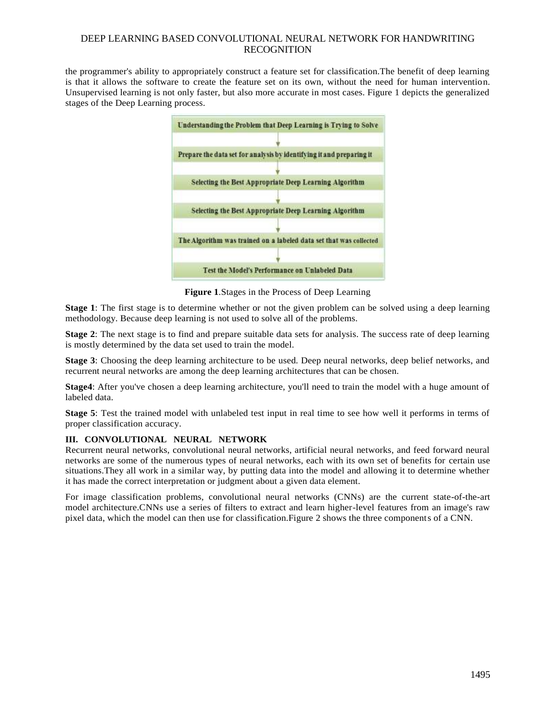the programmer's ability to appropriately construct a feature set for classification.The benefit of deep learning is that it allows the software to create the feature set on its own, without the need for human intervention. Unsupervised learning is not only faster, but also more accurate in most cases. Figure 1 depicts the generalized stages of the Deep Learning process.



**Figure 1**.Stages in the Process of Deep Learning

**Stage 1**: The first stage is to determine whether or not the given problem can be solved using a deep learning methodology. Because deep learning is not used to solve all of the problems.

**Stage 2**: The next stage is to find and prepare suitable data sets for analysis. The success rate of deep learning is mostly determined by the data set used to train the model.

**Stage 3**: Choosing the deep learning architecture to be used. Deep neural networks, deep belief networks, and recurrent neural networks are among the deep learning architectures that can be chosen.

**Stage4**: After you've chosen a deep learning architecture, you'll need to train the model with a huge amount of labeled data.

**Stage 5**: Test the trained model with unlabeled test input in real time to see how well it performs in terms of proper classification accuracy.

## **III. CONVOLUTIONAL NEURAL NETWORK**

Recurrent neural networks, convolutional neural networks, artificial neural networks, and feed forward neural networks are some of the numerous types of neural networks, each with its own set of benefits for certain use situations.They all work in a similar way, by putting data into the model and allowing it to determine whether it has made the correct interpretation or judgment about a given data element.

For image classification problems, convolutional neural networks (CNNs) are the current state-of-the-art model architecture.CNNs use a series of filters to extract and learn higher-level features from an image's raw pixel data, which the model can then use for classification.Figure 2 shows the three components of a CNN.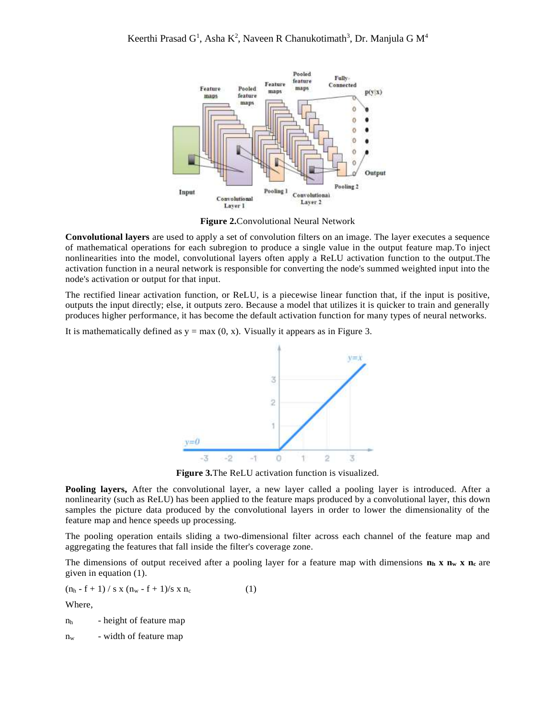

**Figure 2.**Convolutional Neural Network

**Convolutional layers** are used to apply a set of convolution filters on an image. The layer executes a sequence of mathematical operations for each subregion to produce a single value in the output feature map.To inject nonlinearities into the model, convolutional layers often apply a ReLU activation function to the output.The activation function in a neural network is responsible for converting the node's summed weighted input into the node's activation or output for that input.

The rectified linear activation function, or ReLU, is a piecewise linear function that, if the input is positive, outputs the input directly; else, it outputs zero. Because a model that utilizes it is quicker to train and generally produces higher performance, it has become the default activation function for many types of neural networks.

It is mathematically defined as  $y = max(0, x)$ . Visually it appears as in Figure 3.



**Figure 3.**The ReLU activation function is visualized.

**Pooling layers,** After the convolutional layer, a new layer called a pooling layer is introduced. After a nonlinearity (such as ReLU) has been applied to the feature maps produced by a convolutional layer, this down samples the picture data produced by the convolutional layers in order to lower the dimensionality of the feature map and hence speeds up processing.

The pooling operation entails sliding a two-dimensional filter across each channel of the feature map and aggregating the features that fall inside the filter's coverage zone.

The dimensions of output received after a pooling layer for a feature map with dimensions **n<sup>h</sup> x n<sup>w</sup> x n<sup>c</sup>** are given in equation (1).

 $(n_h - f + 1) / s \times (n_w - f + 1)/s \times n_c$  (1)

Where,

 $n<sub>h</sub>$  - height of feature map

n<sup>w</sup> - width of feature map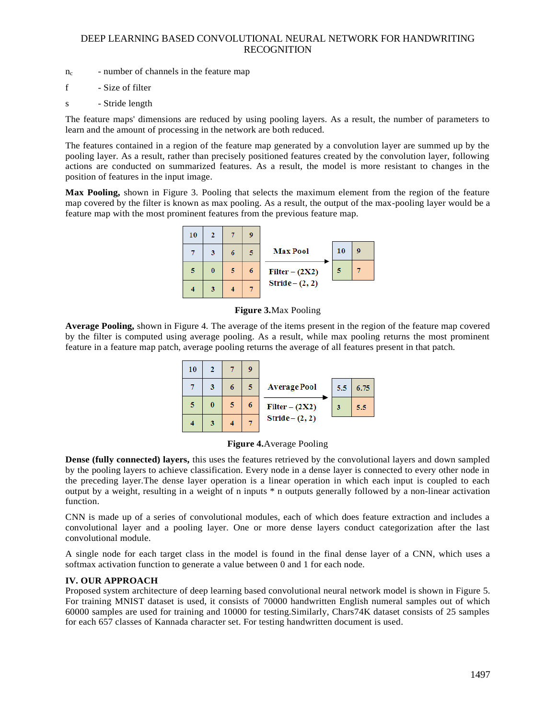- $n_c$  number of channels in the feature map
- f Size of filter
- s Stride length

The feature maps' dimensions are reduced by using pooling layers. As a result, the number of parameters to learn and the amount of processing in the network are both reduced.

The features contained in a region of the feature map generated by a convolution layer are summed up by the pooling layer. As a result, rather than precisely positioned features created by the convolution layer, following actions are conducted on summarized features. As a result, the model is more resistant to changes in the position of features in the input image.

**Max Pooling,** shown in Figure 3. Pooling that selects the maximum element from the region of the feature map covered by the filter is known as max pooling. As a result, the output of the max-pooling layer would be a feature map with the most prominent features from the previous feature map.





**Average Pooling,** shown in Figure 4. The average of the items present in the region of the feature map covered by the filter is computed using average pooling. As a result, while max pooling returns the most prominent feature in a feature map patch, average pooling returns the average of all features present in that patch.





**Dense (fully connected) layers,** this uses the features retrieved by the convolutional layers and down sampled by the pooling layers to achieve classification. Every node in a dense layer is connected to every other node in the preceding layer.The dense layer operation is a linear operation in which each input is coupled to each output by a weight, resulting in a weight of n inputs \* n outputs generally followed by a non-linear activation function.

CNN is made up of a series of convolutional modules, each of which does feature extraction and includes a convolutional layer and a pooling layer. One or more dense layers conduct categorization after the last convolutional module.

A single node for each target class in the model is found in the final dense layer of a CNN, which uses a softmax activation function to generate a value between 0 and 1 for each node.

## **IV. OUR APPROACH**

Proposed system architecture of deep learning based convolutional neural network model is shown in Figure 5. For training MNIST dataset is used, it consists of 70000 handwritten English numeral samples out of which 60000 samples are used for training and 10000 for testing.Similarly, Chars74K dataset consists of 25 samples for each 657 classes of Kannada character set. For testing handwritten document is used.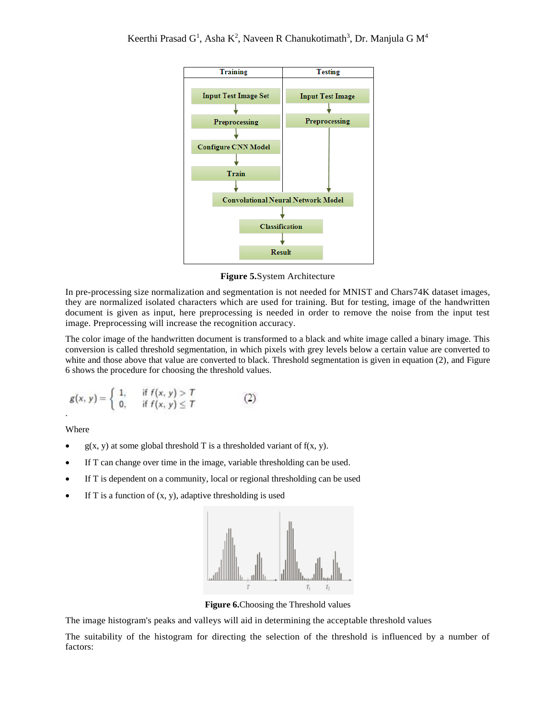

**Figure 5.**System Architecture

In pre-processing size normalization and segmentation is not needed for MNIST and Chars74K dataset images, they are normalized isolated characters which are used for training. But for testing, image of the handwritten document is given as input, here preprocessing is needed in order to remove the noise from the input test image. Preprocessing will increase the recognition accuracy.

The color image of the handwritten document is transformed to a black and white image called a binary image. This conversion is called threshold segmentation, in which pixels with grey levels below a certain value are converted to white and those above that value are converted to black. Threshold segmentation is given in equation (2), and Figure 6 shows the procedure for choosing the threshold values.

$$
g(x, y) = \begin{cases} 1, & \text{if } f(x, y) > T \\ 0, & \text{if } f(x, y) \le T \end{cases}
$$
 (2)

Where

- $g(x, y)$  at some global threshold T is a thresholded variant of  $f(x, y)$ .
- If T can change over time in the image, variable thresholding can be used.
- If T is dependent on a community, local or regional thresholding can be used
- If T is a function of  $(x, y)$ , adaptive thresholding is used



**Figure 6.**Choosing the Threshold values

The image histogram's peaks and valleys will aid in determining the acceptable threshold values

The suitability of the histogram for directing the selection of the threshold is influenced by a number of factors: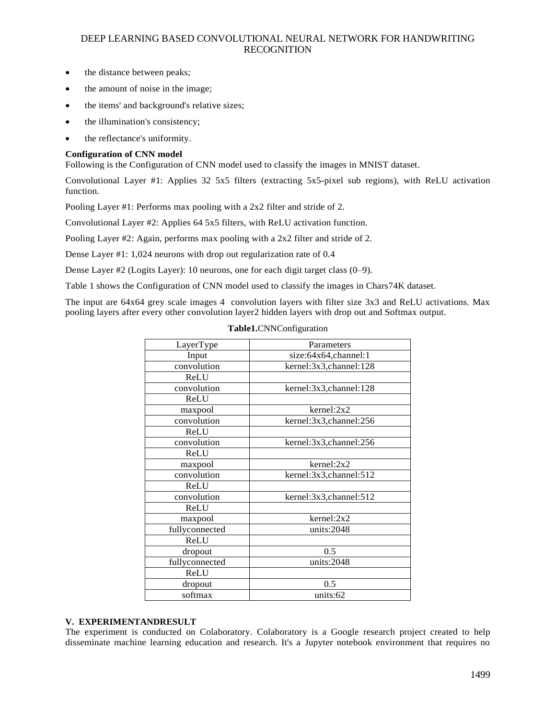- the distance between peaks;
- the amount of noise in the image;
- the items' and background's relative sizes;
- the illumination's consistency;
- the reflectance's uniformity.

#### **Configuration of CNN model**

Following is the Configuration of CNN model used to classify the images in MNIST dataset.

Convolutional Layer #1: Applies 32 5x5 filters (extracting 5x5-pixel sub regions), with ReLU activation function.

Pooling Layer #1: Performs max pooling with a 2x2 filter and stride of 2.

Convolutional Layer #2: Applies 64 5x5 filters, with ReLU activation function.

Pooling Layer #2: Again, performs max pooling with a 2x2 filter and stride of 2.

Dense Layer #1: 1,024 neurons with drop out regularization rate of 0.4

Dense Layer #2 (Logits Layer): 10 neurons, one for each digit target class (0–9).

Table 1 shows the Configuration of CNN model used to classify the images in Chars74K dataset.

The input are 64x64 grey scale images 4 convolution layers with filter size 3x3 and ReLU activations. Max pooling layers after every other convolution layer2 hidden layers with drop out and Softmax output.

| LayerType      | Parameters             |  |
|----------------|------------------------|--|
| Input          | size:64x64,channel:1   |  |
| convolution    | kernel:3x3,channel:128 |  |
| ReLU           |                        |  |
| convolution    | kernel:3x3,channel:128 |  |
| ReLU           |                        |  |
| maxpool        | $k$ ernel: $2x2$       |  |
| convolution    | kernel:3x3,channel:256 |  |
| ReLU           |                        |  |
| convolution    | kernel:3x3,channel:256 |  |
| ReLU           |                        |  |
| maxpool        | kernel:2x2             |  |
| convolution    | kernel:3x3,channel:512 |  |
| ReLU           |                        |  |
| convolution    | kernel:3x3,channel:512 |  |
| ReLU           |                        |  |
| maxpool        | kernel:2x2             |  |
| fullyconnected | units:2048             |  |
| ReLU           |                        |  |
| dropout        | 0.5                    |  |
| fullyconnected | units:2048             |  |
| ReLU           |                        |  |
| dropout        | 0.5                    |  |
| softmax        | units:62               |  |
|                |                        |  |

#### **Table1.**CNNConfiguration

#### **V. EXPERIMENTANDRESULT**

The experiment is conducted on Colaboratory. Colaboratory is a Google research project created to help disseminate machine learning education and research. It's a Jupyter notebook environment that requires no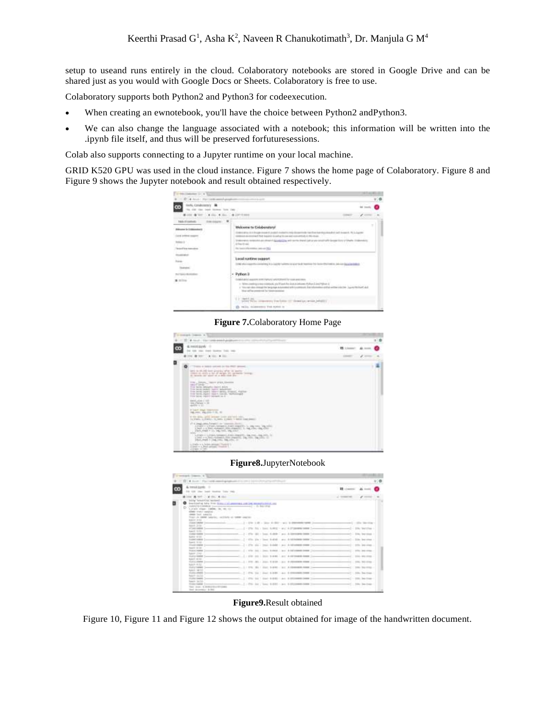setup to useand runs entirely in the cloud. Colaboratory notebooks are stored in Google Drive and can be shared just as you would with Google Docs or Sheets. Colaboratory is free to use.

Colaboratory supports both Python2 and Python3 for codeexecution.

- When creating an ewnotebook, you'll have the choice between Python2 andPython3.
- We can also change the language associated with a notebook; this information will be written into the .ipynb file itself, and thus will be preserved forfuturesessions.

Colab also supports connecting to a Jupyter runtime on your local machine.

GRID K520 GPU was used in the cloud instance. Figure 7 shows the home page of Colaboratory. Figure 8 and Figure 9 shows the Jupyter notebook and result obtained respectively.



**Figure 7.**Colaboratory Home Page

| strapids Company, In-                                                                                                                                                                                                                                            |                  |
|------------------------------------------------------------------------------------------------------------------------------------------------------------------------------------------------------------------------------------------------------------------|------------------|
| state-amend-anniety<br>٠                                                                                                                                                                                                                                         |                  |
| & metat suvely<br>$\rightarrow$<br>m<br>an looking from the                                                                                                                                                                                                      | <b>IS Linear</b> |
| <b>ETH ETH</b><br>٠<br>$-11.4$<br><b><i>LEGISLE</i></b>                                                                                                                                                                                                          |                  |
| ۰<br>I Thomas & Antonio contracts for this dillate and<br>۰<br>ARA 9100-28 ART AVAILY VEH 15 AWAY<br>CORN IS AND A RF-IF REED. IN ANNIE THING:<br>to cannot be an approved a selection that the con-                                                             |                  |
| T're, Tour, twee put, Easter<br><b>John Tombie</b><br>Free Sends: Below/Fig-1960/15 AFO/E<br>This benefit appeals haven't believe and<br>THE MORE AGAIN SEAT WAS CHARGE, FEETER<br>free lanes, Japan. Japan. Secult, resolutionals<br>FOR SING AGES MANAGER & C. |                  |
| deposits and pay of Additional<br>Got Charles v. St."<br>specific to the                                                                                                                                                                                         |                  |
| IF THREE STARS TERRITORY<br>04-500, 194-233-1-12, 12                                                                                                                                                                                                             |                  |
| If the side, and instance contradictions again.<br>THE FORM IS CORRECT. TO, MINOR & STATE 1 - RANGE CAME SHAKES.                                                                                                                                                 |                  |
| 17 C. Dealer All & Parent C. Inc., Concession, Station<br>CANDELL CANDILARING AND ANNEEDS to the time. The strick<br>[340 2.5.353 (\$9560) [335-25440]; 1, 54 (54) (54)<br>and a<br>. FWILMME = (2) 946 (will real pilot                                         |                  |
| <b>STATISTICS</b><br>a Araba of Ludvalent Associations, Araba compatible, this coup, thus, entity, by<br>1144 - Chil-Volume Liver Papers, Inc. Inc. Inc. (201) 27.<br>2544,064 1 244,000, 14-274, 21.<br>xan                                                     |                  |
| a complete to the factories and complete "Thursdale" in<br>2 to 27 P.A. Mich artists ( Truck by L.<br>and selling the first                                                                                                                                      |                  |

**Figure8.**JupyterNotebook

| Converged-Trapperty, N.T.                                                                                                                                                                                                                                                                                                                                                                                                                                                                                                                                                                                                                                                                      |                                                                                                                                                                                                                                                                                                                                                                                                                                                                                                                                                                                                                                                                                                                                                                                                             |                                                                                                                                                                                                                                                                                                             |
|------------------------------------------------------------------------------------------------------------------------------------------------------------------------------------------------------------------------------------------------------------------------------------------------------------------------------------------------------------------------------------------------------------------------------------------------------------------------------------------------------------------------------------------------------------------------------------------------------------------------------------------------------------------------------------------------|-------------------------------------------------------------------------------------------------------------------------------------------------------------------------------------------------------------------------------------------------------------------------------------------------------------------------------------------------------------------------------------------------------------------------------------------------------------------------------------------------------------------------------------------------------------------------------------------------------------------------------------------------------------------------------------------------------------------------------------------------------------------------------------------------------------|-------------------------------------------------------------------------------------------------------------------------------------------------------------------------------------------------------------------------------------------------------------------------------------------------------------|
| 12 . 4 Annie 1 (Flammatike associatement                                                                                                                                                                                                                                                                                                                                                                                                                                                                                                                                                                                                                                                       |                                                                                                                                                                                                                                                                                                                                                                                                                                                                                                                                                                                                                                                                                                                                                                                                             | $= 0$                                                                                                                                                                                                                                                                                                       |
| & residues. 0<br>÷<br>Search Houstone, Today Help.                                                                                                                                                                                                                                                                                                                                                                                                                                                                                                                                                                                                                                             |                                                                                                                                                                                                                                                                                                                                                                                                                                                                                                                                                                                                                                                                                                                                                                                                             | <b>III</b> Linkston<br>Ally House                                                                                                                                                                                                                                                                           |
| the Mittel Car more and                                                                                                                                                                                                                                                                                                                                                                                                                                                                                                                                                                                                                                                                        |                                                                                                                                                                                                                                                                                                                                                                                                                                                                                                                                                                                                                                                                                                                                                                                                             | all thousand the con-                                                                                                                                                                                                                                                                                       |
| saids "landerous number."<br>۰<br>Southering labs from them in Labs<br>THREE TELL \$19990 \$ Texto a particularly<br>ъ<br>Links class: 10000 - 00 - 01 -<br>GRAND TRANS LAWRENCE<br>seek lock against<br>These in these handles, restricts at the<br>44407.3154<br>TRANSCHMART (H<br>hard 2154.<br>ATTACHMENT TV<br>load tott.<br>Checker Homeler, Tu-<br>Salton with<br><b>Following Service</b> Da<br>Forest Wilder<br>(Executivene )<br>team mob<br><b>FEALLY-NAME IN</b><br>hopes 'John<br><b>SUSERING G</b><br>baker strak<br><b>STATE STATE 1-</b><br>50603-R132<br><b>TESTS TORNEY</b><br>lokil W11<br>(1) plug colleged<br>New Years 24<br><b>Highly Greek</b><br><b>Ready Include</b> | <b>UNL BRUNKERS EXCLUSIVE</b><br>- 21-140-1412<br>2 - 270 - 230 - 360 - 9 000 - 401 9 00<br>2 - 276; Fri : Inni; A-M-2 - and A-F-posters need Tyres<br>2 - 1740 Mr. 1 Sept. 6-809 - act. & histographic board, 2 years<br>$\mathcal{I} = 475a$ . The $r$ linear dealership area. A full-induced density ( ) and<br>( IT's 11) : least 4-bobb ( p.c. A hillenberg come ) to<br>1 810-141-2 nov. \$1000 - buy \$16119998-0400 (11)<br>FOR \$10.1 Then \$14.00  Any \$150 models from 1144<br>2021 T-2122 - S-1 - S-201002-0100 111-1<br>1. 210. 231.   Just 9-8-91 - S-1. \$-1040-938-5000.   +++<br>2 - 210, 144 / Start & EXP. - And & EXPOSURE DOWN 1444<br>1-470; 1417 - Start 4-830 - and 4-450 commitment 1-4-<br>HISKINGS December revised monoments. I (The AAI) hand \$1850 are \$1850,00000 history | week - (The Teerman<br>et   - 104; territor -<br>erl - His become<br>$\cdots$<br>of I - 1980, learnings -<br>of I .- EEDs. Januarines<br>ell  blks. leaves<br>1.1891-100-0000<br>an I<br>441   1981 THE STREET<br>will 1986 Barretta.<br>$-11 - 100 + 200$<br>will - 1984; Sections-<br>ail  Hit line-line- |
| That Joan: U.B.00101017710001<br>that promote brief                                                                                                                                                                                                                                                                                                                                                                                                                                                                                                                                                                                                                                            |                                                                                                                                                                                                                                                                                                                                                                                                                                                                                                                                                                                                                                                                                                                                                                                                             |                                                                                                                                                                                                                                                                                                             |

**Figure9.**Result obtained

Figure 10, Figure 11 and Figure 12 shows the output obtained for image of the handwritten document.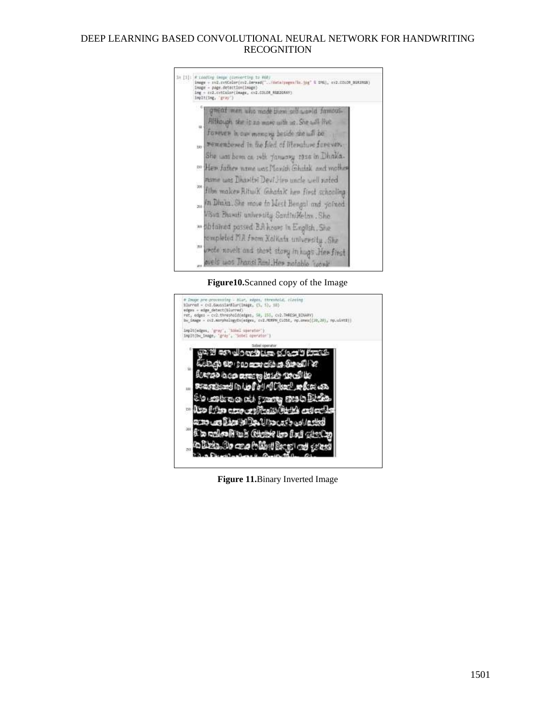|          | wen who made them self-movid famous-                       |
|----------|------------------------------------------------------------|
|          | Although the it no more with us. She will live             |
|          | forever in our memory beside she will be                   |
| tio      | remembered in the filed of literature forever.             |
|          | She was been on 14th fanwary 1926 in Dhaka-                |
|          | <sup>00</sup> Her Jather name was Manith Ghulak and mother |
|          | name was Dhavity! Devi, Hen uncle well noted               |
| $200 -$  | film makes Rituik Ghatak her first schooling               |
|          |                                                            |
| .<br>Stá | In Dinka. She move to Mest Bengal and joined               |
|          | Visia Bhanuti university SantiniHelan. She                 |
|          | an obtained passed B.A hours in English. She               |
|          | rompleted I'ld from Kolkata university. She                |
|          |                                                            |
|          | upote novels and thost story in hugs .Her first            |
| m        | ovels was Thansi Runi. Her notable tooni                   |

**Figure10.**Scanned copy of the Image



**Figure 11.**Binary Inverted Image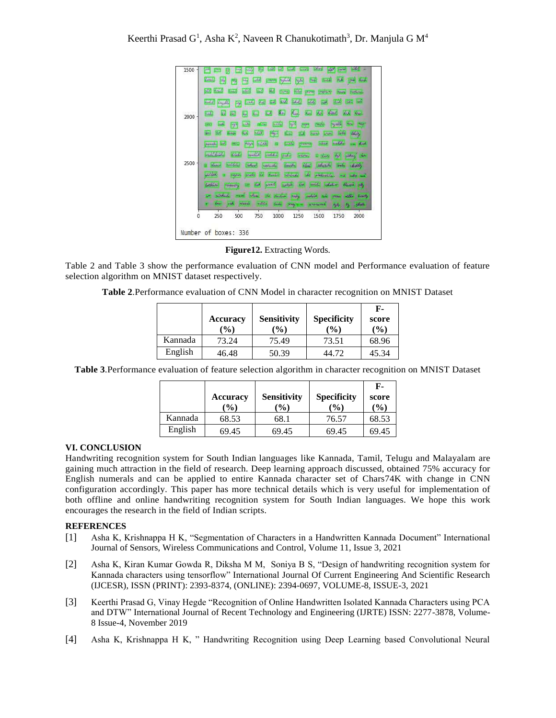

**Figure12.** Extracting Words.

Table 2 and Table 3 show the performance evaluation of CNN model and Performance evaluation of feature selection algorithm on MNIST dataset respectively.

|         | <b>Accuracy</b><br>$\frac{9}{6}$ | <b>Sensitivity</b><br>$\frac{9}{6}$ | <b>Specificity</b><br>$($ %) | F-<br>score<br>$($ %) |
|---------|----------------------------------|-------------------------------------|------------------------------|-----------------------|
| Kannada | 73.24                            | 75.49                               | 73.51                        | 68.96                 |
| English | 46.48                            | 50.39                               | 44.72                        | 45.34                 |

**Table 3**.Performance evaluation of feature selection algorithm in character recognition on MNIST Dataset

|         |               |                    |                    | F-     |
|---------|---------------|--------------------|--------------------|--------|
|         | Accuracy      | <b>Sensitivity</b> | <b>Specificity</b> | score  |
|         | $\frac{6}{6}$ | $\frac{9}{6}$      | (%)                | $($ %) |
| Kannada | 68.53         | 68.1               | 76.57              | 68.53  |
| English | 69.45         | 69.45              | 69.45              | 69.45  |

#### **VI. CONCLUSION**

Handwriting recognition system for South Indian languages like Kannada, Tamil, Telugu and Malayalam are gaining much attraction in the field of research. Deep learning approach discussed, obtained 75% accuracy for English numerals and can be applied to entire Kannada character set of Chars74K with change in CNN configuration accordingly. This paper has more technical details which is very useful for implementation of both offline and online handwriting recognition system for South Indian languages. We hope this work encourages the research in the field of Indian scripts.

#### **REFERENCES**

- [1] Asha K, Krishnappa H K, "Segmentation of Characters in a Handwritten Kannada Document" International Journal of Sensors, Wireless Communications and Control, Volume 11, Issue 3, 2021
- [2] Asha K, Kiran Kumar Gowda R, Diksha M M, Soniya B S, "Design of handwriting recognition system for Kannada characters using tensorflow" International Journal Of Current Engineering And Scientific Research (IJCESR), ISSN (PRINT): 2393-8374, (ONLINE): 2394-0697, VOLUME-8, ISSUE-3, 2021
- [3] Keerthi Prasad G, Vinay Hegde "Recognition of Online Handwritten Isolated Kannada Characters using PCA and DTW" International Journal of Recent Technology and Engineering (IJRTE) ISSN: 2277-3878, Volume-8 Issue-4, November 2019
- [4] Asha K, Krishnappa H K, " Handwriting Recognition using Deep Learning based Convolutional Neural